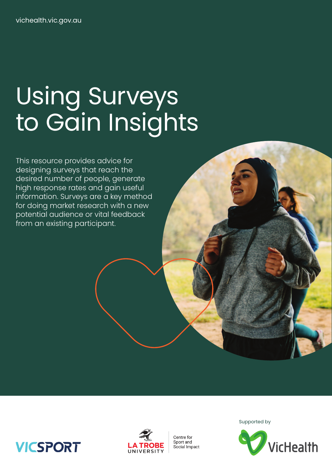# Using Surveys to Gain Insights

This resource provides advice for designing surveys that reach the desired number of people, generate high response rates and gain useful information. Surveys are a key method for doing market research with a new potential audience or vital feedback from an existing participant.



Centre for Sport and Social Impact Supported by



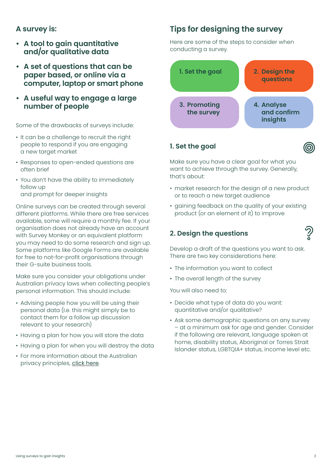## **A survey is:**

- **• A tool to gain quantitative and/or qualitative data**
- **• A set of questions that can be paper based, or online via a computer, laptop or smart phone**
- **• A useful way to engage a large number of people**

Some of the drawbacks of surveys include:

- It can be a challenge to recruit the right people to respond if you are engaging a new target market
- Responses to open-ended questions are often brief
- You don't have the ability to immediately follow up and prompt for deeper insights

Online surveys can be created through several different platforms. While there are free services available, some will require a monthly fee. If your organisation does not already have an account with Survey Monkey or an equivalent platform you may need to do some research and sign up. Some platforms like Google Forms are available for free to not-for-profit organisations through their G-suite business tools.

Make sure you consider your obligations under Australian privacy laws when collecting people's personal information. This should include:

- Advising people how you will be using their personal data (I.e. this might simply be to contact them for a follow up discussion relevant to your research)
- Having a plan for how you will store the data
- Having a plan for when you will destroy the data
- For more information about the Australian privacy principles, [click here](https://www.oaic.gov.au/privacy/australian-privacy-principles/).

## **Tips for designing the survey**

Here are some of the steps to consider when conducting a survey.



#### **1. Set the goal**

Make sure you have a clear goal for what you want to achieve through the survey. Generally, that's about:

- market research for the design of a new product or to reach a new target audience
- gaining feedback on the quality of your existing product (or an element of it) to improve

#### **2. Design the questions**

Develop a draft of the questions you want to ask. There are two key considerations here:

- The information you want to collect
- The overall length of the survey

You will also need to:

- Decide what type of data do you want: quantitative and/or qualitative?
- Ask some demographic questions on any survey – at a minimum ask for age and gender. Consider if the following are relevant, language spoken at home, disability status, Aboriginal or Torres Strait Islander status, LGBTQIA+ status, income level etc.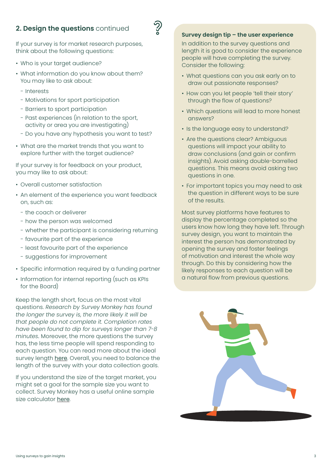## **2. Design the questions** continued



If your survey is for market research purposes, think about the following questions:

- Who is your target audience?
- What information do you know about them? You may like to ask about:
	- Interests
	- Motivations for sport participation
	- Barriers to sport participation
	- Past experiences (in relation to the sport, activity or area you are investigating)
	- Do you have any hypothesis you want to test?
- What are the market trends that you want to explore further with the target audience?

If your survey is for feedback on your product, you may like to ask about:

- Overall customer satisfaction
- An element of the experience you want feedback on, such as:
	- the coach or deliverer
	- how the person was welcomed
	- whether the participant is considering returning
	- favourite part of the experience
	- least favourite part of the experience
	- suggestions for improvement
- Specific information required by a funding partner
- Information for internal reporting (such as KPIs for the Board)

Keep the length short, focus on the most vital questions. *Research by Survey Monkey has found the longer the survey is, the more likely it will be that people do not complete it. Completion rates have been found to dip for surveys longer than 7-8 minutes.* Moreover, the more questions the survey has, the less time people will spend responding to each question. You can read more about the ideal survey length [here](https://www.surveymonkey.com/mp/sample-size-calculator/). Overall, you need to balance the length of the survey with your data collection goals.

If you understand the size of the target market, you might set a goal for the sample size you want to collect. Survey Monkey has a useful online sample size calculator [here](https://www.surveymonkey.com/mp/sample-size-calculator/).

#### **Survey design tip – the user experience**

In addition to the survey questions and length it is good to consider the experience people will have completing the survey. Consider the following:

- What questions can you ask early on to draw out passionate responses?
- How can you let people 'tell their story' through the flow of questions?
- Which questions will lead to more honest answers?
- Is the language easy to understand?
- Are the questions clear? Ambiguous questions will impact your ability to draw conclusions (and gain or confirm insights). Avoid asking double-barrelled questions. This means avoid asking two questions in one.
- For important topics you may need to ask the question in different ways to be sure of the results.

Most survey platforms have features to display the percentage completed so the users know how long they have left. Through survey design, you want to maintain the interest the person has demonstrated by opening the survey and foster feelings of motivation and interest the whole way through. Do this by considering how the likely responses to each question will be a natural flow from previous questions.

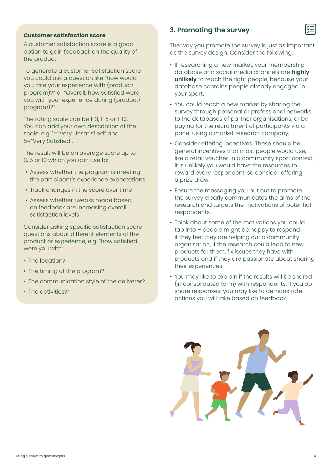#### **Customer satisfaction score**

A customer satisfaction score is a good option to gain feedback on the quality of the product.

To generate a customer satisfaction score you could ask a question like "how would you rate your experience with (product/ program)?" or "Overall, how satisfied were you with your experience during (product/ program)?"

The rating scale can be 1-3, 1-5 or 1-10. You can add your own description of the scale, e.g. 1="Very Unsatisfied" and 5="Very Satisfied".

The result will be an average score up to 3, 5 or 10 which you can use to:

- Assess whether the program is meeting the participant's experience expectations
- Track changes in the score over time
- Assess whether tweaks made based on feedback are increasing overall satisfaction levels

Consider asking specific satisfaction score questions about different elements of the product or experience, e.g. "how satisfied were you with:

- The location?
- The timing of the program?
- The communication style of the deliverer?
- The activities?"

#### **3. Promoting the survey**

The way you promote the survey is just as important as the survey design. Consider the following:

- If researching a new market, your membership database and social media channels are **highly unlikely** to reach the right people, because your database contains people already engaged in your sport.
- You could reach a new market by sharing the survey through personal or professional networks, to the databases of partner organisations, or by paying for the recruitment of participants via a panel using a market research company.
- Consider offering incentives. These should be general incentives that most people would use, like a retail voucher. In a community sport context, it is unlikely you would have the resources to reward every respondent, so consider offering a prize draw.
- Ensure the messaging you put out to promote the survey clearly communicates the aims of the research and targets the motivations of potential respondents.
- Think about some of the motivations you could tap into – people might be happy to respond if they feel they are helping out a community organisation, if the research could lead to new products for them, fix issues they have with products and if they are passionate about sharing their experiences.
- You may like to explain if the results will be shared (in consolidated form) with respondents. If you do share responses, you may like to demonstrate actions you will take based on feedback.